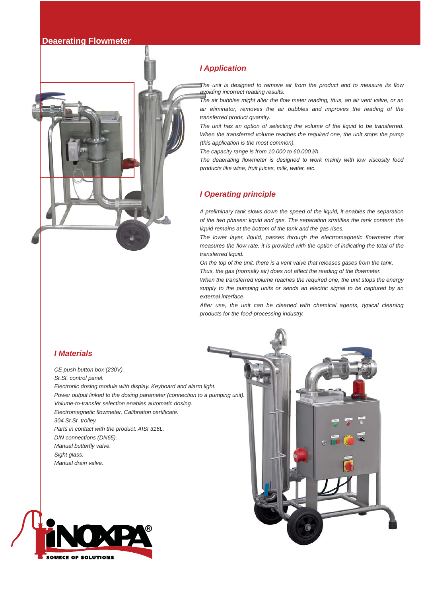## **Deaerating Flowmeter**



*The unit is designed to remove air from the product and to measure its flow avoiding incorrect reading results.* 

*The air bubbles might alter the flow meter reading, thus, an air vent valve, or an air eliminator, removes the air bubbles and improves the reading of the transferred product quantity.*

*The unit has an option of selecting the volume of the liquid to be transferred. When the transferred volume reaches the required one, the unit stops the pump (this application is the most common).* 

*The capacity range is from 10.000 to 60.000 l/h.*

*The deaerating flowmeter is designed to work mainly with low viscosity food products like wine, fruit juices, milk, water, etc.*

## *I Operating principle*

*A preliminary tank slows down the speed of the liquid, it enables the separation of the two phases: liquid and gas. The separation stratifies the tank content: the liquid remains at the bottom of the tank and the gas rises.*

*The lower layer, liquid, passes through the electromagnetic flowmeter that measures the flow rate, it is provided with the option of indicating the total of the transferred liquid.* 

*On the top of the unit, there is a vent valve that releases gases from the tank. Thus, the gas (normally air) does not affect the reading of the flowmeter.* 

*When the transferred volume reaches the required one, the unit stops the energy supply to the pumping units or sends an electric signal to be captured by an external interface.*

*After use, the unit can be cleaned with chemical agents, typical cleaning products for the food-processing industry.*